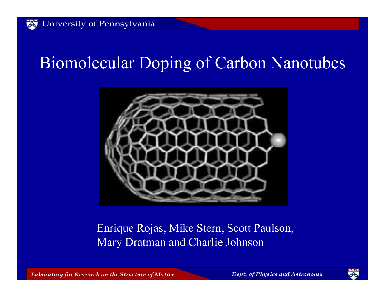## Biomolecular Doping of Carbon Nanotubes



#### Enrique Rojas, Mike Stern, Scott Paulson, Mary Dratman and Charlie Johnson

Laboratory for Research on the Structure of Matter

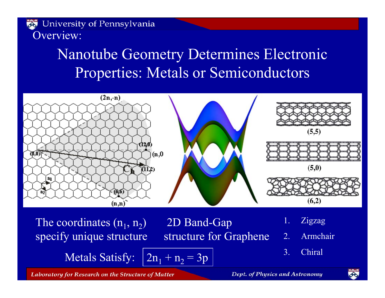University of Pennsylvania

Overview:

## Nanotube Geometry Determines Electronic Properties: Metals or Semiconductors



The coordinates  $(n_1, n_2)$ specify unique structure

2D Band-Gap structure for Graphene 2. Armchair

Metals Satisfy:  $n_1 + n_2 = 3p$ 

1. Zigzag

3. Chiral



Laboratory for Research on the Structure of Matter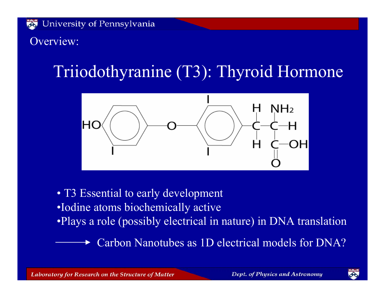Overview:

# Triiodothyranine (T3): Thyroid Hormone



- T3 Essential to early development
- •Iodine atoms biochemically active
- •Plays a role (possibly electrical in nature) in DNA translation

Carbon Nanotubes as 1D electrical models for DNA?

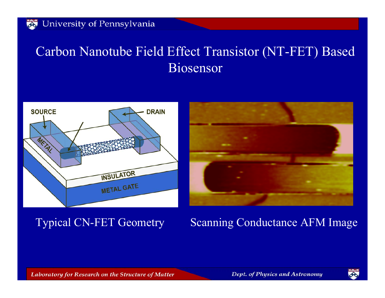#### Carbon Nanotube Field Effect Transistor (NT-FET) Based Biosensor





#### Typical CN-FET Geometry Scanning Conductance AFM Image

Laboratory for Research on the Structure of Matter

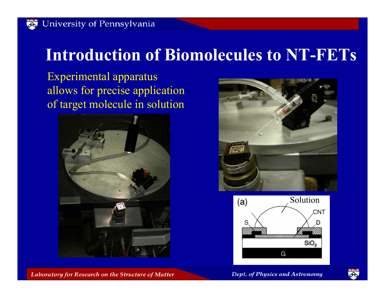## **Introduction of Biomolecules to NT-FETs**

Experimental apparatus allows for precise application of target molecule in solution







#### Dept. of Physics and Astronomy



Laboratory for Research on the Structure of Matter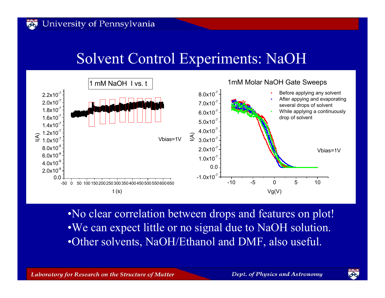#### Solvent Control Experiments: NaOH



•No clear correlation between drops and features on plot! •We can expect little or no signal due to NaOH solution. •Other solvents, NaOH/Ethanol and DMF, also useful.

Laboratory for Research on the Structure of Matter

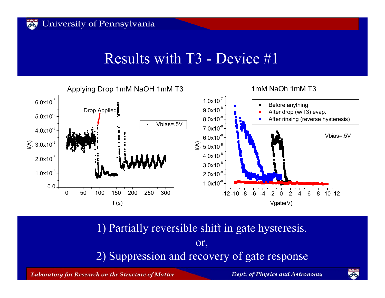#### Results with T3 - Device #1



1) Partially reversible shift in gate hysteresis. or, 2) Suppression and recovery of gate response

Laboratory for Research on the Structure of Matter

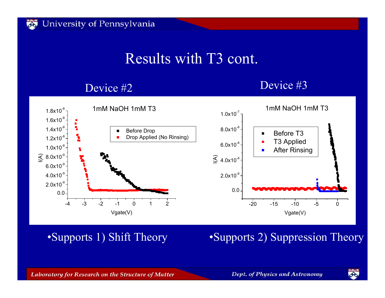### Results with T3 cont.

#### Device #2

#### Device #3



•Supports 1) Shift Theory

#### •Supports 2) Suppression Theory

Laboratory for Research on the Structure of Matter

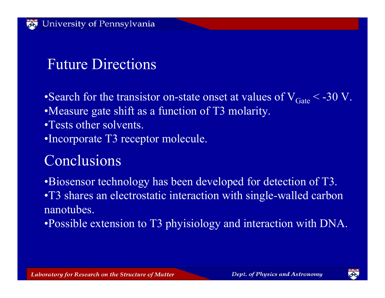## Future Directions

- •Search for the transistor on-state onset at values of  $\rm V_{Gate}$  < -30 V.
- •Measure gate shift as a function of T3 molarity.
- •Tests other solvents.
- •Incorporate T3 receptor molecule.

## **Conclusions**

•Biosensor technology has been developed for detection of T3. •T3 shares an electrostatic interaction with single-walled carbon nanotubes.

•Possible extension to T3 phyisiology and interaction with DNA.